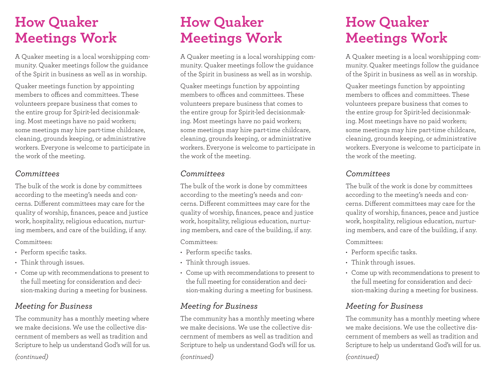# **How Quaker Meetings Work**

A Quaker meeting is a local worshipping community. Quaker meetings follow the guidance of the Spirit in business as well as in worship.

Quaker meetings function by appointing members to offices and committees. These volunteers prepare business that comes to the entire group for Spirit-led decisionmaking. Most meetings have no paid workers; some meetings may hire part-time childcare, cleaning, grounds keeping, or administrative workers. Everyone is welcome to participate in the work of the meeting.

#### *Committees*

The bulk of the work is done by committees according to the meeting's needs and concerns. Different committees may care for the quality of worship, finances, peace and justice work, hospitality, religious education, nurturing members, and care of the building, if any.

Committees:

- Perform specific tasks.
- Think through issues.
- Come up with recommendations to present to the full meeting for consideration and decision-making during a meeting for business.

## *Meeting for Business*

The community has a monthly meeting where we make decisions. We use the collective discernment of members as well as tradition and Scripture to help us understand God's will for us.

*(continued)*

# **How Quaker Meetings Work**

A Quaker meeting is a local worshipping community. Quaker meetings follow the guidance of the Spirit in business as well as in worship.

Quaker meetings function by appointing members to offices and committees. These volunteers prepare business that comes to the entire group for Spirit-led decisionmaking. Most meetings have no paid workers; some meetings may hire part-time childcare, cleaning, grounds keeping, or administrative workers. Everyone is welcome to participate in the work of the meeting.

#### *Committees*

The bulk of the work is done by committees according to the meeting's needs and concerns. Different committees may care for the quality of worship, finances, peace and justice work, hospitality, religious education, nurturing members, and care of the building, if any.

Committees:

- Perform specific tasks.
- Think through issues.
- Come up with recommendations to present to the full meeting for consideration and decision-making during a meeting for business.

## *Meeting for Business*

The community has a monthly meeting where we make decisions. We use the collective discernment of members as well as tradition and Scripture to help us understand God's will for us.

*(continued)*

# **How Quaker Meetings Work**

A Quaker meeting is a local worshipping community. Quaker meetings follow the guidance of the Spirit in business as well as in worship.

Quaker meetings function by appointing members to offices and committees. These volunteers prepare business that comes to the entire group for Spirit-led decisionmaking. Most meetings have no paid workers; some meetings may hire part-time childcare, cleaning, grounds keeping, or administrative workers. Everyone is welcome to participate in the work of the meeting.

#### *Committees*

The bulk of the work is done by committees according to the meeting's needs and concerns. Different committees may care for the quality of worship, finances, peace and justice work, hospitality, religious education, nurturing members, and care of the building, if any.

Committees:

- Perform specific tasks.
- Think through issues.
- Come up with recommendations to present to the full meeting for consideration and decision-making during a meeting for business.

## *Meeting for Business*

The community has a monthly meeting where we make decisions. We use the collective discernment of members as well as tradition and Scripture to help us understand God's will for us.

*(continued)*